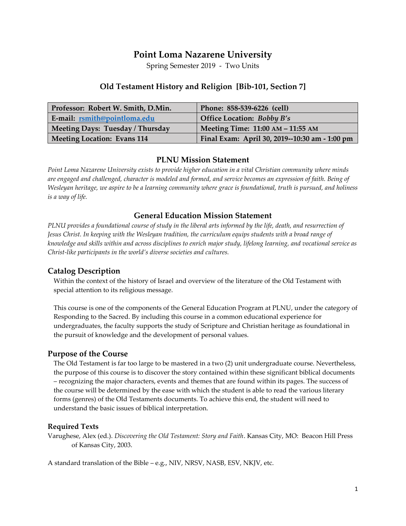# **Point Loma Nazarene University**

Spring Semester 2019 - Two Units

### **Old Testament History and Religion [Bib-101, Section 7]**

| Professor: Robert W. Smith, D.Min. | Phone: 858-539-6226 (cell)                     |
|------------------------------------|------------------------------------------------|
| E-mail: rsmith@pointloma.edu       | <b>Office Location: Bobby B's</b>              |
| Meeting Days: Tuesday / Thursday   | Meeting Time: 11:00 AM - 11:55 AM              |
| <b>Meeting Location: Evans 114</b> | Final Exam: April 30, 2019--10:30 am - 1:00 pm |

#### **PLNU Mission Statement**

*Point Loma Nazarene University exists to provide higher education in a vital Christian community where minds are engaged and challenged, character is modeled and formed, and service becomes an expression of faith. Being of Wesleyan heritage, we aspire to be a learning community where grace is foundational, truth is pursued, and holiness is a way of life.*

#### **General Education Mission Statement**

*PLNU provides a foundational course of study in the liberal arts informed by the life, death, and resurrection of Jesus Christ. In keeping with the Wesleyan tradition, the curriculum equips students with a broad range of knowledge and skills within and across disciplines to enrich major study, lifelong learning, and vocational service as Christ-like participants in the world's diverse societies and cultures.*

#### **Catalog Description**

Within the context of the history of Israel and overview of the literature of the Old Testament with special attention to its religious message.

This course is one of the components of the General Education Program at PLNU, under the category of Responding to the Sacred. By including this course in a common educational experience for undergraduates, the faculty supports the study of Scripture and Christian heritage as foundational in the pursuit of knowledge and the development of personal values.

#### **Purpose of the Course**

The Old Testament is far too large to be mastered in a two (2) unit undergraduate course. Nevertheless, the purpose of this course is to discover the story contained within these significant biblical documents – recognizing the major characters, events and themes that are found within its pages. The success of the course will be determined by the ease with which the student is able to read the various literary forms (genres) of the Old Testaments documents. To achieve this end, the student will need to understand the basic issues of biblical interpretation.

#### **Required Texts**

Varughese, Alex (ed.). *Discovering the Old Testament: Story and Faith*. Kansas City, MO: Beacon Hill Press of Kansas City, 2003.

A standard translation of the Bible – e.g., NIV, NRSV, NASB, ESV, NKJV, etc.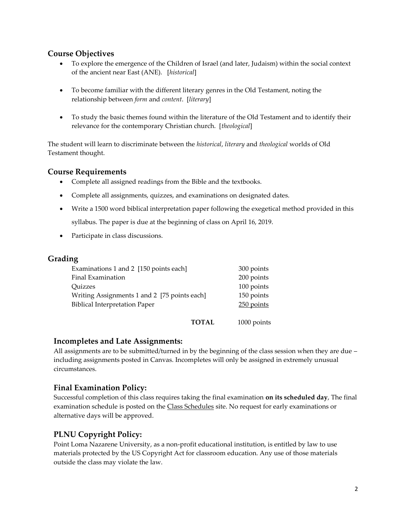### **Course Objectives**

- To explore the emergence of the Children of Israel (and later, Judaism) within the social context of the ancient near East (ANE). [*historical*]
- To become familiar with the different literary genres in the Old Testament, noting the relationship between *form* and *content*. [*literary*]
- To study the basic themes found within the literature of the Old Testament and to identify their relevance for the contemporary Christian church. [*theological*]

The student will learn to discriminate between the *historical*, *literary* and *theological* worlds of Old Testament thought.

### **Course Requirements**

- Complete all assigned readings from the Bible and the textbooks.
- Complete all assignments, quizzes, and examinations on designated dates.
- Write a 1500 word biblical interpretation paper following the exegetical method provided in this syllabus. The paper is due at the beginning of class on April 16, 2019.
- Participate in class discussions.

#### **Grading**

| Examinations 1 and 2 [150 points each]       | 300 points   |
|----------------------------------------------|--------------|
| Final Examination                            | 200 points   |
| <b>Ouizzes</b>                               | 100 points   |
| Writing Assignments 1 and 2 [75 points each] | 150 points   |
| <b>Biblical Interpretation Paper</b>         | $250$ points |
|                                              |              |
| <b>TOTAL</b>                                 | 1000 points  |

#### **Incompletes and Late Assignments:**

All assignments are to be submitted/turned in by the beginning of the class session when they are due – including assignments posted in Canvas. Incompletes will only be assigned in extremely unusual circumstances.

### **Final Examination Policy:**

Successful completion of this class requires taking the final examination **on its scheduled day**, The final examination schedule is posted on the Class Schedules site. No request for early examinations or alternative days will be approved.

## **PLNU Copyright Policy:**

Point Loma Nazarene University, as a non-profit educational institution, is entitled by law to use materials protected by the US Copyright Act for classroom education. Any use of those materials outside the class may violate the law.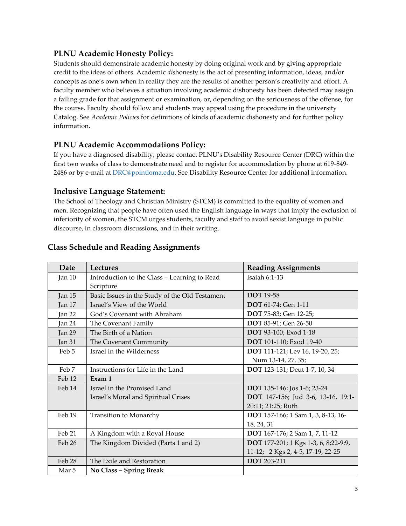## **PLNU Academic Honesty Policy:**

Students should demonstrate academic honesty by doing original work and by giving appropriate credit to the ideas of others. Academic *dis*honesty is the act of presenting information, ideas, and/or concepts as one's own when in reality they are the results of another person's creativity and effort. A faculty member who believes a situation involving academic dishonesty has been detected may assign a failing grade for that assignment or examination, or, depending on the seriousness of the offense, for the course. Faculty should follow and students may appeal using the procedure in the university Catalog. See *Academic Policies* for definitions of kinds of academic dishonesty and for further policy information.

## **PLNU Academic Accommodations Policy:**

If you have a diagnosed disability, please contact PLNU's Disability Resource Center (DRC) within the first two weeks of class to demonstrate need and to register for accommodation by phone at 619-849- 2486 or by e-mail at [DRC@pointloma.edu.](mailto:DRC@pointloma.edu) See Disability Resource Center for additional information.

### **Inclusive Language Statement:**

The School of Theology and Christian Ministry (STCM) is committed to the equality of women and men. Recognizing that people have often used the English language in ways that imply the exclusion of inferiority of women, the STCM urges students, faculty and staff to avoid sexist language in public discourse, in classroom discussions, and in their writing.

| Date     | Lectures                                       | <b>Reading Assignments</b>            |
|----------|------------------------------------------------|---------------------------------------|
| Jan $10$ | Introduction to the Class - Learning to Read   | Isaiah $6:1-13$                       |
|          | Scripture                                      |                                       |
| Jan 15   | Basic Issues in the Study of the Old Testament | <b>DOT</b> 19-58                      |
| Jan 17   | Israel's View of the World                     | <b>DOT</b> 61-74; Gen 1-11            |
| Jan 22   | God's Covenant with Abraham                    | <b>DOT</b> 75-83; Gen 12-25;          |
| Jan 24   | The Covenant Family                            | <b>DOT</b> 85-91; Gen 26-50           |
| Jan 29   | The Birth of a Nation                          | <b>DOT</b> 93-100; Exod 1-18          |
| Jan 31   | The Covenant Community                         | <b>DOT</b> 101-110; Exod 19-40        |
| Feb 5    | Israel in the Wilderness                       | DOT 111-121; Lev 16, 19-20, 25;       |
|          |                                                | Num 13-14, 27, 35;                    |
| Feb 7    | Instructions for Life in the Land              | <b>DOT</b> 123-131; Deut 1-7, 10, 34  |
| Feb 12   | Exam 1                                         |                                       |
| Feb 14   | Israel in the Promised Land                    | <b>DOT</b> 135-146; Jos 1-6; 23-24    |
|          | Israel's Moral and Spiritual Crises            | DOT 147-156; Jud 3-6, 13-16, 19:1-    |
|          |                                                | 20:11; 21:25; Ruth                    |
| Feb 19   | Transition to Monarchy                         | DOT 157-166; 1 Sam 1, 3, 8-13, 16-    |
|          |                                                | 18, 24, 31                            |
| Feb 21   | A Kingdom with a Royal House                   | <b>DOT</b> 167-176; 2 Sam 1, 7, 11-12 |
| Feb 26   | The Kingdom Divided (Parts 1 and 2)            | DOT 177-201; 1 Kgs 1-3, 6, 8;22-9:9,  |
|          |                                                | 11-12; 2 Kgs 2, 4-5, 17-19, 22-25     |
| Feb 28   | The Exile and Restoration                      | <b>DOT</b> 203-211                    |
| Mar 5    | No Class - Spring Break                        |                                       |

## **Class Schedule and Reading Assignments**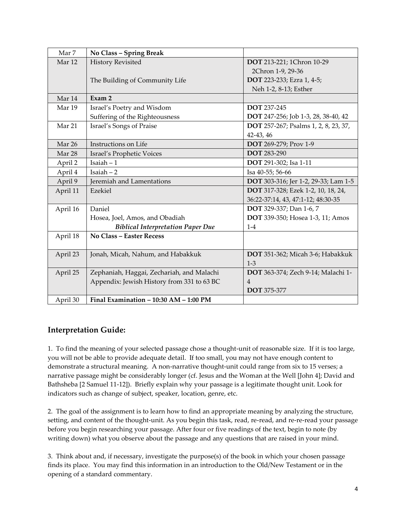| Mar 7    | No Class - Spring Break                    |                                      |
|----------|--------------------------------------------|--------------------------------------|
| Mar 12   | <b>History Revisited</b>                   | DOT 213-221; 1Chron 10-29            |
|          |                                            | 2Chron 1-9, 29-36                    |
|          | The Building of Community Life             | <b>DOT</b> 223-233; Ezra 1, 4-5;     |
|          |                                            | Neh 1-2, 8-13; Esther                |
| Mar 14   | Exam 2                                     |                                      |
| Mar 19   | Israel's Poetry and Wisdom                 | <b>DOT</b> 237-245                   |
|          | Suffering of the Righteousness             | DOT 247-256; Job 1-3, 28, 38-40, 42  |
| Mar 21   | Israel's Songs of Praise                   | DOT 257-267; Psalms 1, 2, 8, 23, 37, |
|          |                                            | 42-43, 46                            |
| Mar 26   | Instructions on Life                       | DOT 269-279; Prov 1-9                |
| Mar 28   | Israel's Prophetic Voices                  | <b>DOT</b> 283-290                   |
| April 2  | Isaiah $-1$                                | DOT 291-302; Isa 1-11                |
| April 4  | $Isaiah - 2$                               | Isa 40-55; 56-66                     |
| April 9  | Jeremiah and Lamentations                  | DOT 303-316; Jer 1-2, 29-33; Lam 1-5 |
| April 11 | Ezekiel                                    | DOT 317-328; Ezek 1-2, 10, 18, 24,   |
|          |                                            | 36:22-37:14, 43, 47:1-12; 48:30-35   |
| April 16 | Daniel                                     | <b>DOT</b> 329-337; Dan 1-6, 7       |
|          | Hosea, Joel, Amos, and Obadiah             | DOT 339-350; Hosea 1-3, 11; Amos     |
|          | <b>Biblical Interpretation Paper Due</b>   | $1-4$                                |
| April 18 | <b>No Class - Easter Recess</b>            |                                      |
|          |                                            |                                      |
| April 23 | Jonah, Micah, Nahum, and Habakkuk          | DOT 351-362; Micah 3-6; Habakkuk     |
|          |                                            | $1-3$                                |
| April 25 | Zephaniah, Haggai, Zechariah, and Malachi  | DOT 363-374; Zech 9-14; Malachi 1-   |
|          | Appendix: Jewish History from 331 to 63 BC | $\overline{4}$                       |
|          |                                            | <b>DOT</b> 375-377                   |
| April 30 | Final Examination - 10:30 AM - 1:00 PM     |                                      |

## **Interpretation Guide:**

1. To find the meaning of your selected passage chose a thought-unit of reasonable size. If it is too large, you will not be able to provide adequate detail. If too small, you may not have enough content to demonstrate a structural meaning. A non-narrative thought-unit could range from six to 15 verses; a narrative passage might be considerably longer (cf. Jesus and the Woman at the Well [John 4]; David and Bathsheba [2 Samuel 11-12]). Briefly explain why your passage is a legitimate thought unit. Look for indicators such as change of subject, speaker, location, genre, etc.

2. The goal of the assignment is to learn how to find an appropriate meaning by analyzing the structure, setting, and content of the thought-unit. As you begin this task, read, re-read, and re-re-read your passage before you begin researching your passage. After four or five readings of the text, begin to note (by writing down) what you observe about the passage and any questions that are raised in your mind.

3. Think about and, if necessary, investigate the purpose(s) of the book in which your chosen passage finds its place. You may find this information in an introduction to the Old/New Testament or in the opening of a standard commentary.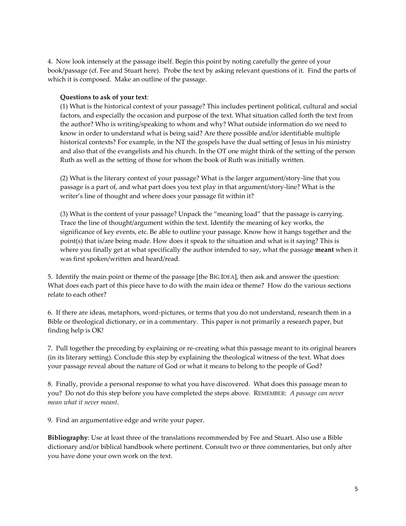4. Now look intensely at the passage itself. Begin this point by noting carefully the genre of your book/passage (cf. Fee and Stuart here). Probe the text by asking relevant questions of it. Find the parts of which it is composed. Make an outline of the passage.

#### **Questions to ask of your text**:

(1) What is the historical context of your passage? This includes pertinent political, cultural and social factors, and especially the occasion and purpose of the text. What situation called forth the text from the author? Who is writing/speaking to whom and why? What outside information do we need to know in order to understand what is being said? Are there possible and/or identifiable multiple historical contexts? For example, in the NT the gospels have the dual setting of Jesus in his ministry and also that of the evangelists and his church. In the OT one might think of the setting of the person Ruth as well as the setting of those for whom the book of Ruth was initially written.

(2) What is the literary context of your passage? What is the larger argument/story-line that you passage is a part of, and what part does you text play in that argument/story-line? What is the writer's line of thought and where does your passage fit within it?

(3) What is the content of your passage? Unpack the "meaning load" that the passage is carrying. Trace the line of thought/argument within the text. Identify the meaning of key works, the significance of key events, etc. Be able to outline your passage. Know how it hangs together and the point(s) that is/are being made. How does it speak to the situation and what is it saying? This is where you finally get at what specifically the author intended to say, what the passage **meant** when it was first spoken/written and heard/read.

5. Identify the main point or theme of the passage [the BIG IDEA], then ask and answer the question: What does each part of this piece have to do with the main idea or theme? How do the various sections relate to each other?

6. If there are ideas, metaphors, word-pictures, or terms that you do not understand, research them in a Bible or theological dictionary, or in a commentary. This paper is not primarily a research paper, but finding help is OK!

7. Pull together the preceding by explaining or re-creating what this passage meant to its original hearers (in its literary setting). Conclude this step by explaining the theological witness of the text. What does your passage reveal about the nature of God or what it means to belong to the people of God?

8. Finally, provide a personal response to what you have discovered. What does this passage mean to you? Do not do this step before you have completed the steps above. REMEMBER: *A passage can never mean what it never meant*.

9. Find an argumentative edge and write your paper.

**Bibliography**: Use at least three of the translations recommended by Fee and Stuart. Also use a Bible dictionary and/or biblical handbook where pertinent. Consult two or three commentaries, but only after you have done your own work on the text.